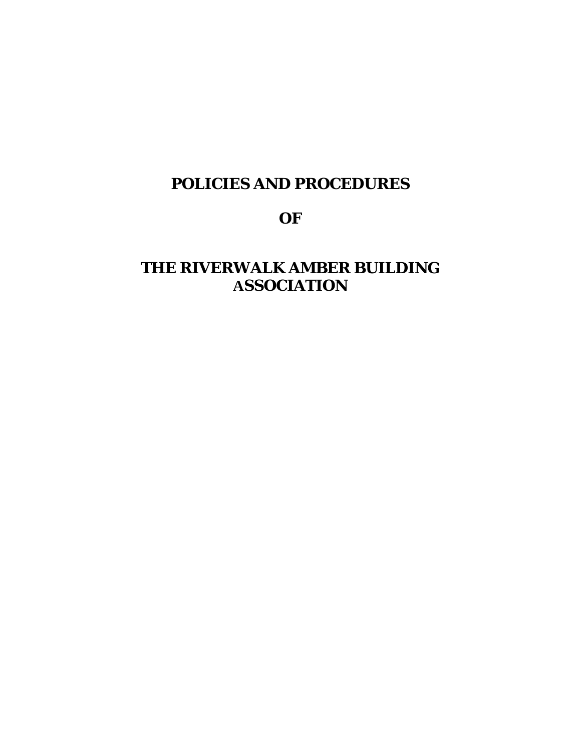# **POLICIES AND PROCEDURES**

# **OF**

# **THE RIVERWALK AMBER BUILDING ASSOCIATION**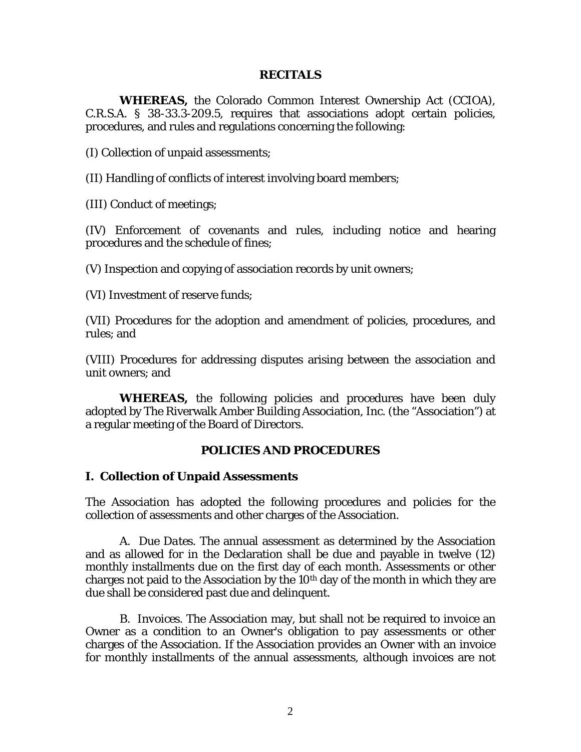#### **RECITALS**

**WHEREAS,** the Colorado Common Interest Ownership Act (CCIOA), C.R.S.A. § 38-33.3-209.5, requires that associations adopt certain policies, procedures, and rules and regulations concerning the following:

(I) Collection of unpaid assessments;

(II) Handling of conflicts of interest involving board members;

(III) Conduct of meetings;

(IV) Enforcement of covenants and rules, including notice and hearing procedures and the schedule of fines;

(V) Inspection and copying of association records by unit owners;

(VI) Investment of reserve funds;

(VII) Procedures for the adoption and amendment of policies, procedures, and rules; and

(VIII) Procedures for addressing disputes arising between the association and unit owners; and

**WHEREAS,** the following policies and procedures have been duly adopted by The Riverwalk Amber Building Association, Inc. (the "Association") at a regular meeting of the Board of Directors.

#### **POLICIES AND PROCEDURES**

#### **I. Collection of Unpaid Assessments**

The Association has adopted the following procedures and policies for the collection of assessments and other charges of the Association.

A. *Due Dates*. The annual assessment as determined by the Association and as allowed for in the Declaration shall be due and payable in twelve (12) monthly installments due on the first day of each month. Assessments or other charges not paid to the Association by the  $10<sup>th</sup>$  day of the month in which they are due shall be considered past due and delinquent.

B. *Invoices*. The Association may, but shall not be required to invoice an Owner as a condition to an Owner's obligation to pay assessments or other charges of the Association. If the Association provides an Owner with an invoice for monthly installments of the annual assessments, although invoices are not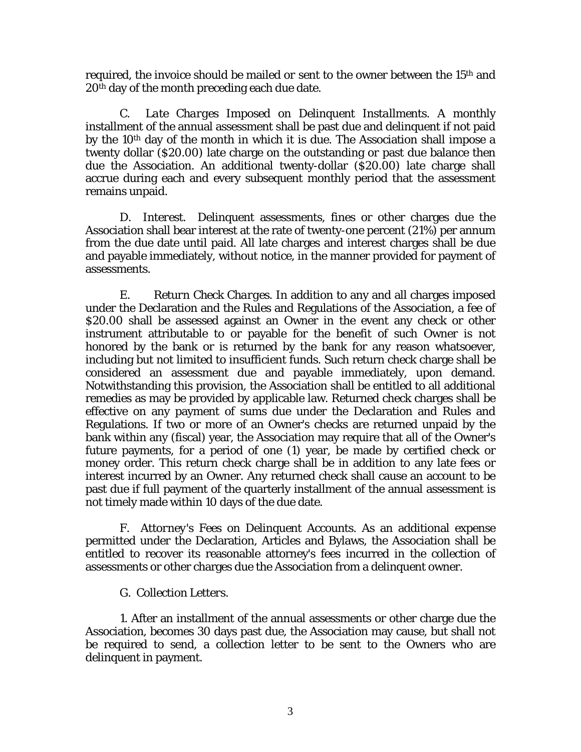required, the invoice should be mailed *or* sent to the owner between the 15th and 20<sup>th</sup> day of the month preceding each due date.

C. *Late Charges Imposed on Delinquent Installments*. A monthly installment of the annual assessment shall be past due and delinquent if not paid by the 10th day of the month in which it is due. The Association shall impose a twenty dollar (\$20.00) late charge on the outstanding or past due balance then due the Association. An additional twenty-dollar (\$20.00) late charge shall accrue during each and every subsequent monthly period that the assessment remains unpaid.

D. *Interest*. Delinquent assessments, fines or other charges due the Association shall bear interest at the rate of twenty-one percent (21%) per annum from the due date until paid. All late charges and interest charges shall be due and payable immediately, without notice, in the manner provided for payment of assessments.

E. *Return Check Charges*. In addition to any and all charges imposed under the Declaration and the Rules and Regulations of the Association, a fee of \$20.00 shall be assessed against an Owner in the event any check or other instrument attributable to or payable for the benefit of such Owner is not honored by the bank or is returned by the bank for any reason whatsoever, including but not limited to insufficient funds. Such return check charge shall be considered an assessment due and payable immediately, upon demand. Notwithstanding this provision, the Association shall be entitled to all additional remedies as may be provided by applicable law. Returned check charges shall be effective on any payment of sums due under the Declaration and Rules and Regulations. If two or more of an Owner's checks are returned unpaid by the bank within any (fiscal) year, the Association may require that all of the Owner's future payments, for a period of one (1) year, be made by certified check or money order. This return check charge shall be in addition to any late fees or interest incurred by an Owner. Any returned check shall cause an account to be past due if full payment of the quarterly installment of the annual assessment is not timely made within 10 days of the due date.

F. *Attorney's Fees on Delinquent Accounts*. As an additional expense permitted under the Declaration, Articles and Bylaws, the Association shall be entitled to recover its reasonable attorney's fees incurred in the collection of assessments or other charges due the Association from a delinquent owner.

## G. *Collection Letters*.

1. After an installment of the annual assessments or other charge due the Association, becomes 30 days past due, the Association may cause, but shall not be required to send, a collection letter to be sent to the Owners who are delinquent in payment.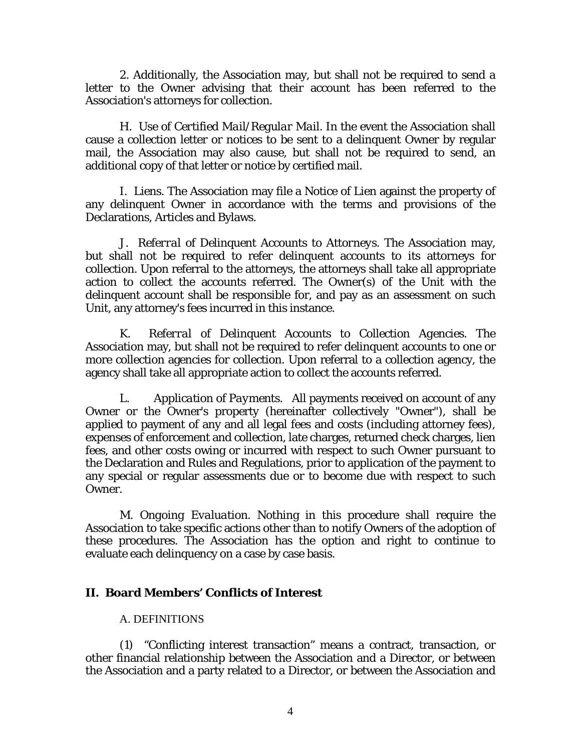2. Additionally, the Association may, but shall not be required to send a letter to the Owner advising that their account has been referred to the Association's attorneys for collection.

H. *Use of Certified Mail/Regular Mail*. In the event the Association shall cause a collection letter or notices to be sent to a delinquent Owner by regular mail, the Association may also cause, but shall not be required to send, an additional copy of that letter or notice by certified mail.

I. *Liens*. The Association may file a Notice of Lien against the property of any delinquent Owner in accordance with the terms and provisions of the Declarations, Articles and Bylaws.

J. *Referral of Delinquent Accounts to Attorneys*. The Association may, but shall not be required to refer delinquent accounts to its attorneys for collection. Upon referral to the attorneys, the attorneys shall take all appropriate action to collect the accounts referred. The Owner(s) of the Unit with the delinquent account shall be responsible for, and pay as an assessment on such Unit, any attorney's fees incurred in this instance.

K. *Referral of Delinquent Accounts to Collection Agencies*. The Association may, but shall not be required to refer delinquent accounts to one or more collection agencies for collection. Upon referral to a collection agency, the agency shall take all appropriate action to collect the accounts referred.

L. *Application of Payments*. All payments received on account of any Owner or the Owner's property (hereinafter collectively "Owner"), shall be applied to payment of any and all legal fees and costs (including attorney fees), expenses of enforcement and collection, late charges, returned check charges, lien fees, and other costs owing or incurred with respect to such Owner pursuant to the Declaration and Rules and Regulations, prior to application of the payment to any special or regular assessments due or to become due with respect to such Owner.

M. *Ongoing Evaluation*. Nothing in this procedure shall require the Association to take specific actions other than to notify Owners of the adoption of these procedures. The Association has the option and right to continue to evaluate each delinquency on a case by case basis.

## **II. Board Members' Conflicts of Interest**

#### A. DEFINITIONS

(1) "Conflicting interest transaction" means a contract, transaction, or other financial relationship between the Association and a Director, or between the Association and a party related to a Director, or between the Association and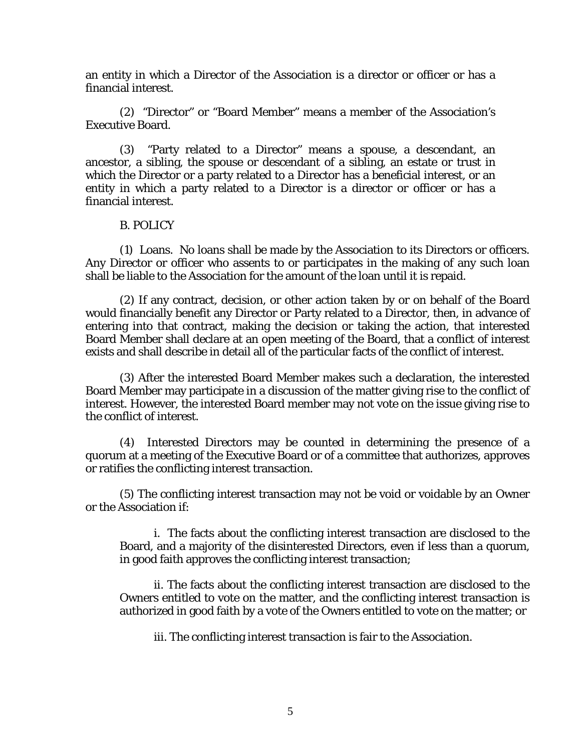an entity in which a Director of the Association is a director or officer or has a financial interest.

(2) "Director" or "Board Member" means a member of the Association's Executive Board.

(3) "Party related to a Director" means a spouse, a descendant, an ancestor, a sibling, the spouse or descendant of a sibling, an estate or trust in which the Director or a party related to a Director has a beneficial interest, or an entity in which a party related to a Director is a director or officer or has a financial interest.

#### B. POLICY

(1) Loans. No loans shall be made by the Association to its Directors or officers. Any Director or officer who assents to or participates in the making of any such loan shall be liable to the Association for the amount of the loan until it is repaid.

(2) If any contract, decision, or other action taken by or on behalf of the Board would financially benefit any Director or Party related to a Director, then, in advance of entering into that contract, making the decision or taking the action, that interested Board Member shall declare at an open meeting of the Board, that a conflict of interest exists and shall describe in detail all of the particular facts of the conflict of interest.

(3) After the interested Board Member makes such a declaration, the interested Board Member may participate in a discussion of the matter giving rise to the conflict of interest. However, the interested Board member may not vote on the issue giving rise to the conflict of interest.

(4) Interested Directors may be counted in determining the presence of a quorum at a meeting of the Executive Board or of a committee that authorizes, approves or ratifies the conflicting interest transaction.

(5) The conflicting interest transaction may not be void or voidable by an Owner or the Association if:

i. The facts about the conflicting interest transaction are disclosed to the Board, and a majority of the disinterested Directors, even if less than a quorum, in good faith approves the conflicting interest transaction;

ii. The facts about the conflicting interest transaction are disclosed to the Owners entitled to vote on the matter, and the conflicting interest transaction is authorized in good faith by a vote of the Owners entitled to vote on the matter; or

iii. The conflicting interest transaction is fair to the Association.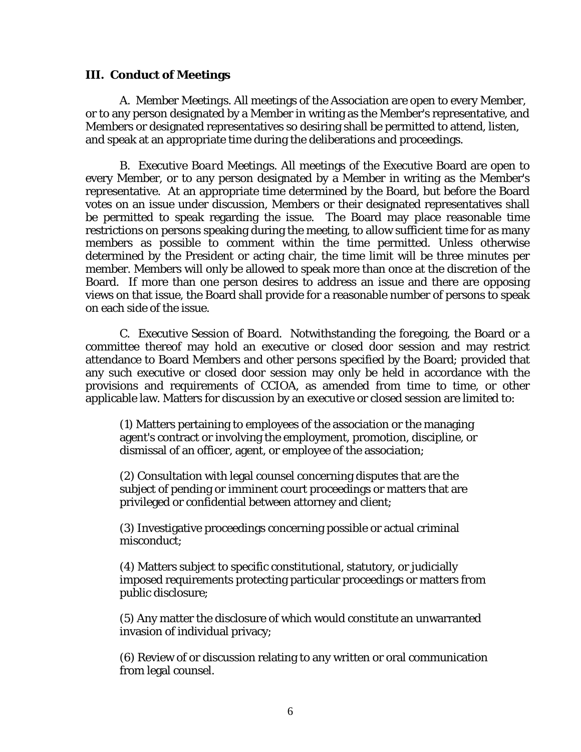## **III. Conduct of Meetings**

A. *Member Meetings*. All meetings of the Association are open to every Member, or to any person designated by a Member in writing as the Member's representative, and Members or designated representatives so desiring shall be permitted to attend, listen, and speak at an appropriate time during the deliberations and proceedings.

 B. *Executive Board Meetings*. All meetings of the Executive Board are open to every Member, or to any person designated by a Member in writing as the Member's representative. At an appropriate time determined by the Board, but before the Board votes on an issue under discussion, Members or their designated representatives shall be permitted to speak regarding the issue. The Board may place reasonable time restrictions on persons speaking during the meeting, to allow sufficient time for as many members as possible to comment within the time permitted. Unless otherwise determined by the President or acting chair, the time limit will be three minutes per member. Members will only be allowed to speak more than once at the discretion of the Board. If more than one person desires to address an issue and there are opposing views on that issue, the Board shall provide for a reasonable number of persons to speak on each side of the issue.

C. *Executive Session of Board*. Notwithstanding the foregoing, the Board or a committee thereof may hold an executive or closed door session and may restrict attendance to Board Members and other persons specified by the Board; provided that any such executive or closed door session may only be held in accordance with the provisions and requirements of CCIOA, as amended from time to time, or other applicable law. Matters for discussion by an executive or closed session are limited to:

(1) Matters pertaining to employees of the association or the managing agent's contract or involving the employment, promotion, discipline, or dismissal of an officer, agent, or employee of the association;

(2) Consultation with legal counsel concerning disputes that are the subject of pending or imminent court proceedings or matters that are privileged or confidential between attorney and client;

(3) Investigative proceedings concerning possible or actual criminal misconduct;

(4) Matters subject to specific constitutional, statutory, or judicially imposed requirements protecting particular proceedings or matters from public disclosure;

(5) Any matter the disclosure of which would constitute an unwarranted invasion of individual privacy;

(6) Review of or discussion relating to any written or oral communication from legal counsel.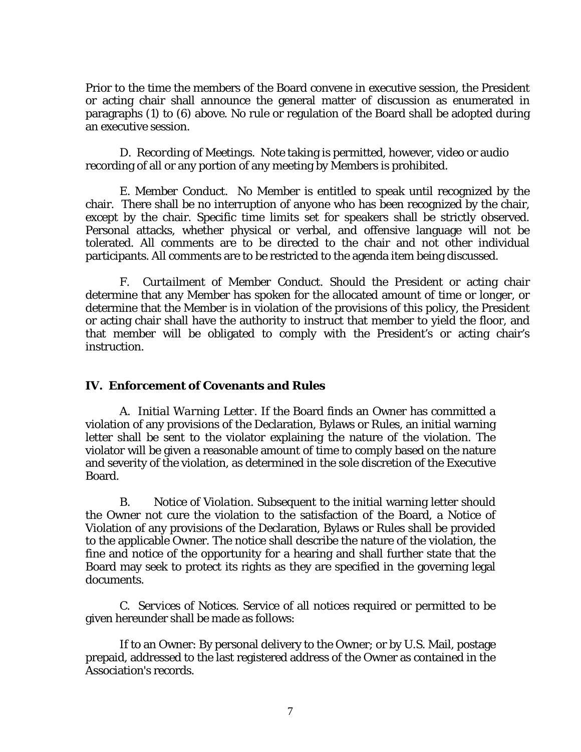Prior to the time the members of the Board convene in executive session, the President or acting chair shall announce the general matter of discussion as enumerated in paragraphs (1) to (6) above. No rule or regulation of the Board shall be adopted during an executive session.

 D. *Recording of Meetings*. Note taking is permitted, however, video or audio recording of all or any portion of any meeting by Members is prohibited.

E. *Member Conduct*. No Member is entitled to speak until recognized by the chair. There shall be no interruption of anyone who has been recognized by the chair, except by the chair. Specific time limits set for speakers shall be strictly observed. Personal attacks, whether physical or verbal, and offensive language will not be tolerated. All comments are to be directed to the chair and not other individual participants. All comments are to be restricted to the agenda item being discussed.

F. *Curtailment of Member Conduct*. Should the President or acting chair determine that any Member has spoken for the allocated amount of time or longer, or determine that the Member is in violation of the provisions of this policy, the President or acting chair shall have the authority to instruct that member to yield the floor, and that member will be obligated to comply with the President's or acting chair's instruction.

## **IV. Enforcement of Covenants and Rules**

A. *Initial Warning Letter*. If the Board finds an Owner has committed a violation of any provisions of the Declaration, Bylaws or Rules, an initial warning letter shall be sent to the violator explaining the nature of the violation. The violator will be given a reasonable amount of time to comply based on the nature and severity of the violation, as determined in the sole discretion of the Executive Board.

B. *Notice of Violation*. Subsequent to the initial warning letter should the Owner not cure the violation to the satisfaction of the Board, a Notice of Violation of any provisions of the Declaration, Bylaws or Rules shall be provided to the applicable Owner. The notice shall describe the nature of the violation, the fine and notice of the opportunity for a hearing and shall further state that the Board may seek to protect its rights as they are specified in the governing legal documents.

C. *Services of Notices*. Service of all notices required or permitted to be given hereunder shall be made as follows:

If to an Owner: By personal delivery to the Owner; or by U.S. Mail, postage prepaid, addressed to the last registered address of the Owner as contained in the Association's records.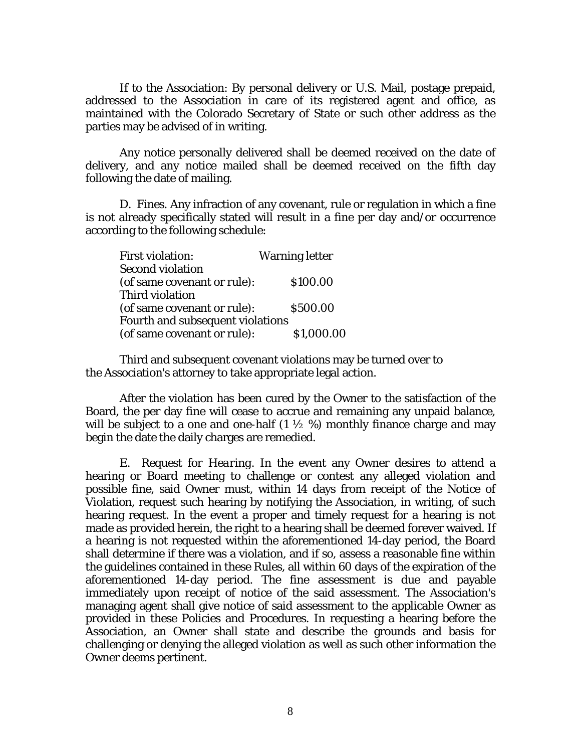If to the Association: By personal delivery or U.S. Mail, postage prepaid, addressed to the Association in care of its registered agent and office, as maintained with the Colorado Secretary of State or such other address as the parties may be advised of in writing.

Any notice personally delivered shall be deemed received on the date of delivery, and any notice mailed shall be deemed received on the fifth day following the date of mailing.

D. *Fines*. Any infraction of any covenant, rule or regulation in which a fine is not already specifically stated will result in a fine per day and/or occurrence according to the following schedule:

| <b>First violation:</b>          | <b>Warning letter</b> |  |  |
|----------------------------------|-----------------------|--|--|
| <b>Second violation</b>          |                       |  |  |
| (of same covenant or rule):      | \$100.00              |  |  |
| Third violation                  |                       |  |  |
| (of same covenant or rule):      | \$500.00              |  |  |
| Fourth and subsequent violations |                       |  |  |
| (of same covenant or rule):      | \$1,000.00            |  |  |

Third and subsequent covenant violations may be turned over to the Association's attorney to take appropriate legal action.

After the violation has been cured by the Owner to the satisfaction of the Board, the per day fine will cease to accrue and remaining any unpaid balance, will be subject to a one and one-half  $(1 \frac{1}{2} \%)$  monthly finance charge and may begin the date the daily charges are remedied.

E. *Request for Hearing*. In the event any Owner desires to attend a hearing or Board meeting to challenge or contest any alleged violation and possible fine, said Owner must, within 14 days from receipt of the Notice of Violation, request such hearing by notifying the Association, in writing, of such hearing request. In the event a proper and timely request for a hearing is not made as provided herein, the right to a hearing shall be deemed forever waived. If a hearing is not requested within the aforementioned 14-day period, the Board shall determine if there was a violation, and if so, assess a reasonable fine within the guidelines contained in these Rules, all within 60 days of the expiration of the aforementioned 14-day period. The fine assessment is due and payable immediately upon receipt of notice of the said assessment. The Association's managing agent shall give notice of said assessment to the applicable Owner as provided in these Policies and Procedures. In requesting a hearing before the Association, an Owner shall state and describe the grounds and basis for challenging or denying the alleged violation as well as such other information the Owner deems pertinent.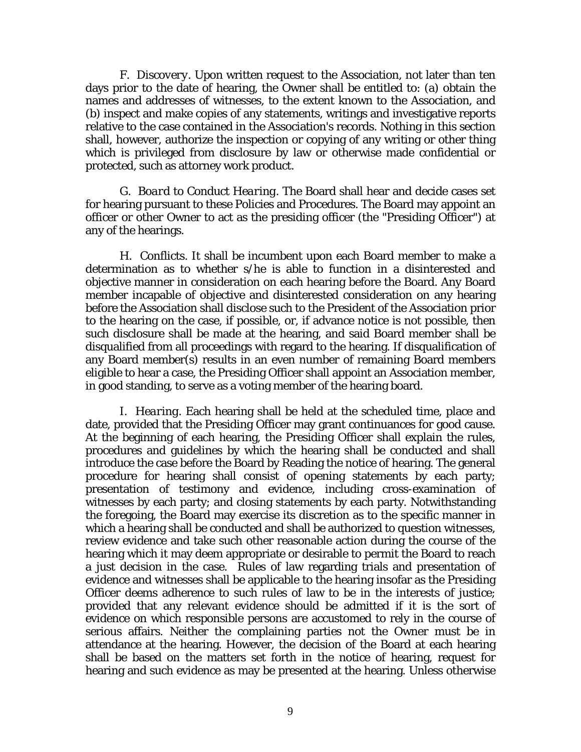F. *Discovery*. Upon written request to the Association, not later than ten days prior to the date of hearing, the Owner shall be entitled to: (a) obtain the names and addresses of witnesses, to the extent known to the Association, and (b) inspect and make copies of any statements, writings and investigative reports relative to the case contained in the Association's records. Nothing in this section shall, however, authorize the inspection or copying of any writing or other thing which is privileged from disclosure by law or otherwise made confidential or protected, such as attorney work product.

G. *Board to Conduct Hearing*. The Board shall hear and decide cases set for hearing pursuant to these Policies and Procedures. The Board may appoint an officer or other Owner to act as the presiding officer (the "Presiding Officer") at any of the hearings.

H. *Conflicts*. It shall be incumbent upon each Board member to make a determination as to whether s/he is able to function in a disinterested and objective manner in consideration on each hearing before the Board. Any Board member incapable of objective and disinterested consideration on any hearing before the Association shall disclose such to the President of the Association prior to the hearing on the case, if possible, or, if advance notice is not possible, then such disclosure shall be made at the hearing, and said Board member shall be disqualified from all proceedings with regard to the hearing. If disqualification of any Board member(s) results in an even number of remaining Board members eligible to hear a case, the Presiding Officer shall appoint an Association member, in good standing, to serve as a voting member of the hearing board.

I. *Hearing*. Each hearing shall be held at the scheduled time, place and date, provided that the Presiding Officer may grant continuances for good cause. At the beginning of each hearing, the Presiding Officer shall explain the rules, procedures and guidelines by which the hearing shall be conducted and shall introduce the case before the Board by Reading the notice of hearing. The general procedure for hearing shall consist of opening statements by each party; presentation of testimony and evidence, including cross-examination of witnesses by each party; and closing statements by each party. Notwithstanding the foregoing, the Board may exercise its discretion as to the specific manner in which a hearing shall be conducted and shall be authorized to question witnesses, review evidence and take such other reasonable action during the course of the hearing which it may deem appropriate or desirable to permit the Board to reach a just decision in the case. Rules of law regarding trials and presentation of evidence and witnesses shall be applicable to the hearing insofar as the Presiding Officer deems adherence to such rules of law to be in the interests of justice; provided that any relevant evidence should be admitted if it is the sort of evidence on which responsible persons are accustomed to rely in the course of serious affairs. Neither the complaining parties not the Owner must be in attendance at the hearing. However, the decision of the Board at each hearing shall be based on the matters set forth in the notice of hearing, request for hearing and such evidence as may be presented at the hearing. Unless otherwise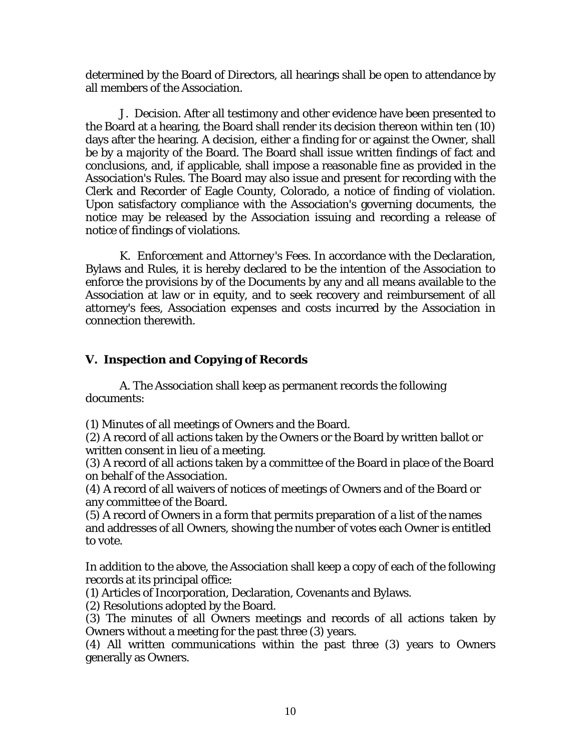determined by the Board of Directors, all hearings shall be open to attendance by all members of the Association.

J. *Decision*. After all testimony and other evidence have been presented to the Board at a hearing, the Board shall render its decision thereon within ten (10) days after the hearing. A decision, either a finding for or against the Owner, shall be by a majority of the Board. The Board shall issue written findings of fact and conclusions, and, if applicable, shall impose a reasonable fine as provided in the Association's Rules. The Board may also issue and present for recording with the Clerk and Recorder of Eagle County, Colorado, a notice of finding of violation. Upon satisfactory compliance with the Association's governing documents, the notice may be released by the Association issuing and recording a release of notice of findings of violations.

K. *Enforcement and Attorney's Fees*. In accordance with the Declaration, Bylaws and Rules, it is hereby declared to be the intention of the Association to enforce the provisions by of the Documents by any and all means available to the Association at law or in equity, and to seek recovery and reimbursement of all attorney's fees, Association expenses and costs incurred by the Association in connection therewith.

## **V. Inspection and Copying of Records**

A. The Association shall keep as permanent records the following documents:

(1) Minutes of all meetings of Owners and the Board.

(2) A record of all actions taken by the Owners or the Board by written ballot or written consent in lieu of a meeting.

(3) A record of all actions taken by a committee of the Board in place of the Board on behalf of the Association.

(4) A record of all waivers of notices of meetings of Owners and of the Board or any committee of the Board.

(5) A record of Owners in a form that permits preparation of a list of the names and addresses of all Owners, showing the number of votes each Owner is entitled to vote.

In addition to the above, the Association shall keep a copy of each of the following records at its principal office:

(1) Articles of Incorporation, Declaration, Covenants and Bylaws.

(2) Resolutions adopted by the Board.

(3) The minutes of all Owners meetings and records of all actions taken by Owners without a meeting for the past three (3) years.

(4) All written communications within the past three (3) years to Owners generally as Owners.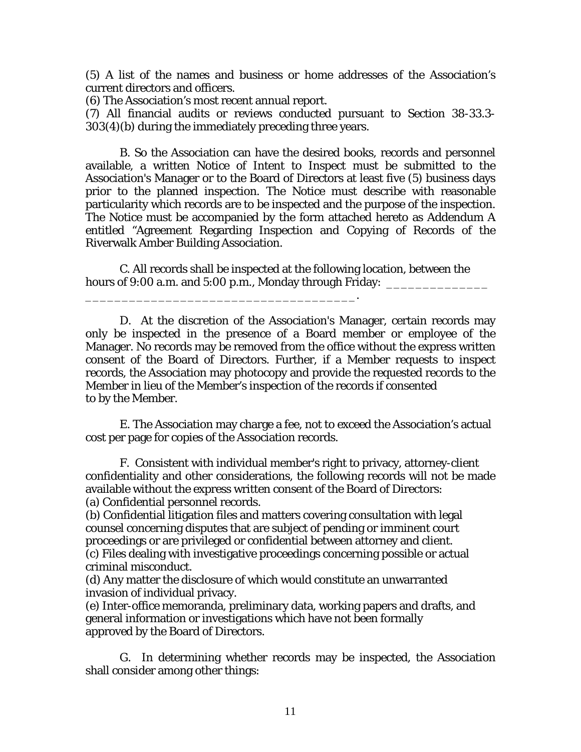(5) A list of the names and business or home addresses of the Association's current directors and officers.

(6) The Association's most recent annual report.

\_\_\_\_\_\_\_\_\_\_\_\_\_\_\_\_\_\_\_\_\_\_\_\_\_\_\_\_\_\_\_\_\_\_\_\_\_.

(7) All financial audits or reviews conducted pursuant to Section 38-33.3- 303(4)(b) during the immediately preceding three years.

B. So the Association can have the desired books, records and personnel available, a written Notice of Intent to Inspect must be submitted to the Association's Manager or to the Board of Directors at least five (5) business days prior to the planned inspection. The Notice must describe with reasonable particularity which records are to be inspected and the purpose of the inspection. The Notice must be accompanied by the form attached hereto as Addendum A entitled "Agreement Regarding Inspection and Copying of Records of the Riverwalk Amber Building Association.

C. All records shall be inspected at the following location, between the hours of 9:00 a.m. and 5:00 p.m., Monday through Friday:  $\overline{\phantom{a}}$ 

D. At the discretion of the Association's Manager, certain records may only be inspected in the presence of a Board member or employee of the Manager. No records may be removed from the office without the express written consent of the Board of Directors. Further, if a Member requests to inspect records, the Association may photocopy and provide the requested records to the Member in lieu of the Member's inspection of the records if consented to by the Member.

E. The Association may charge a fee, not to exceed the Association's actual cost per page for copies of the Association records.

F. Consistent with individual member's right to privacy, attorney-client confidentiality and other considerations, the following records will not be made available without the express written consent of the Board of Directors: (a) Confidential personnel records.

(b) Confidential litigation files and matters covering consultation with legal counsel concerning disputes that are subject of pending or imminent court proceedings or are privileged or confidential between attorney and client. (c) Files dealing with investigative proceedings concerning possible or actual criminal misconduct.

(d) Any matter the disclosure of which would constitute an unwarranted invasion of individual privacy.

(e) Inter-office memoranda, preliminary data, working papers and drafts, and general information or investigations which have not been formally approved by the Board of Directors.

G. In determining whether records may be inspected, the Association shall consider among other things: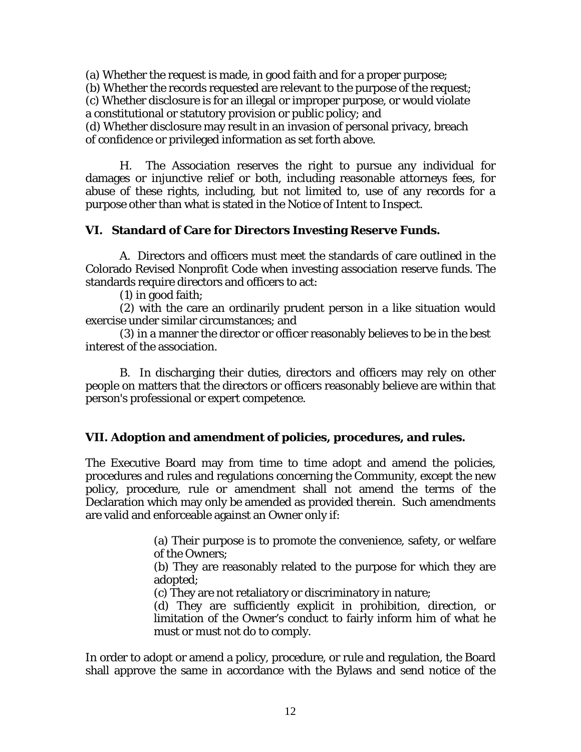(a) Whether the request is made, in good faith and for a proper purpose;

(b) Whether the records requested are relevant to the purpose of the request;

(c) Whether disclosure is for an illegal or improper purpose, or would violate a constitutional or statutory provision or public policy; and

(d) Whether disclosure may result in an invasion of personal privacy, breach of confidence or privileged information as set forth above.

H. The Association reserves the right to pursue any individual for damages or injunctive relief or both, including reasonable attorneys fees, for abuse of these rights, including, but not limited to, use of any records for a purpose other than what is stated in the Notice of Intent to Inspect.

## **VI. Standard of Care for Directors Investing Reserve Funds.**

A. Directors and officers must meet the standards of care outlined in the Colorado Revised Nonprofit Code when investing association reserve funds. The standards require directors and officers to act:

(1) in good faith;

(2) with the care an ordinarily prudent person in a like situation would exercise under similar circumstances; and

(3) in a manner the director or officer reasonably believes to be in the best interest of the association.

B. In discharging their duties, directors and officers may rely on other people on matters that the directors or officers reasonably believe are within that person's professional or expert competence.

## **VII. Adoption and amendment of policies, procedures, and rules.**

The Executive Board may from time to time adopt and amend the policies, procedures and rules and regulations concerning the Community, except the new policy, procedure, rule or amendment shall not amend the terms of the Declaration which may only be amended as provided therein. Such amendments are valid and enforceable against an Owner only if:

> (a) Their purpose is to promote the convenience, safety, or welfare of the Owners;

> (b) They are reasonably related to the purpose for which they are adopted;

(c) They are not retaliatory or discriminatory in nature;

(d) They are sufficiently explicit in prohibition, direction, or limitation of the Owner's conduct to fairly inform him of what he must or must not do to comply.

In order to adopt or amend a policy, procedure, or rule and regulation, the Board shall approve the same in accordance with the Bylaws and send notice of the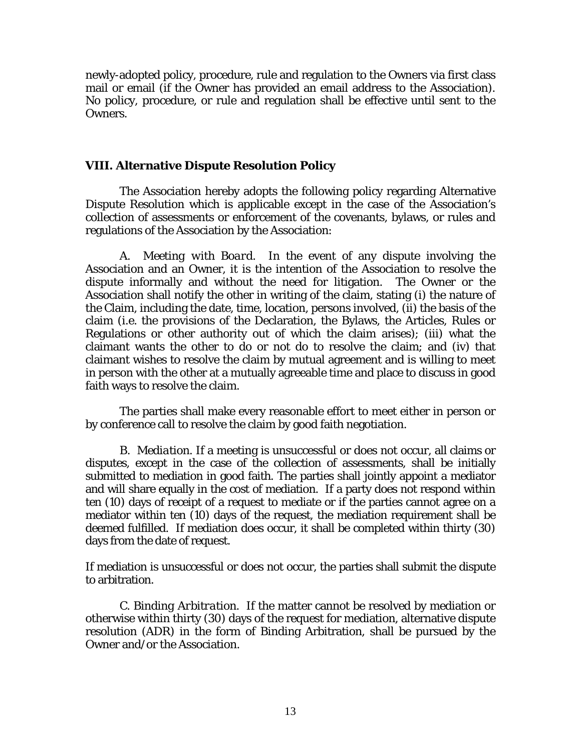newly-adopted policy, procedure, rule and regulation to the Owners via first class mail or email (if the Owner has provided an email address to the Association). No policy, procedure, or rule and regulation shall be effective until sent to the Owners.

#### **VIII. Alternative Dispute Resolution Policy**

The Association hereby adopts the following policy regarding Alternative Dispute Resolution which is applicable except in the case of the Association's collection of assessments or enforcement of the covenants, bylaws, or rules and regulations of the Association by the Association:

A. *Meeting with Board.* In the event of any dispute involving the Association and an Owner, it is the intention of the Association to resolve the dispute informally and without the need for litigation. The Owner or the Association shall notify the other in writing of the claim, stating (i) the nature of the Claim, including the date, time, location, persons involved, (ii) the basis of the claim (i.e. the provisions of the Declaration, the Bylaws, the Articles, Rules or Regulations or other authority out of which the claim arises); (iii) what the claimant wants the other to do or not do to resolve the claim; and (iv) that claimant wishes to resolve the claim by mutual agreement and is willing to meet in person with the other at a mutually agreeable time and place to discuss in good faith ways to resolve the claim.

The parties shall make every reasonable effort to meet either in person or by conference call to resolve the claim by good faith negotiation.

 B. *Mediation.* If a meeting is unsuccessful or does not occur, all claims or disputes, except in the case of the collection of assessments, shall be initially submitted to mediation in good faith. The parties shall jointly appoint a mediator and will share equally in the cost of mediation. If a party does not respond within ten (10) days of receipt of a request to mediate or if the parties cannot agree on a mediator within ten (10) days of the request, the mediation requirement shall be deemed fulfilled. If mediation does occur, it shall be completed within thirty (30) days from the date of request.

If mediation is unsuccessful or does not occur, the parties shall submit the dispute to arbitration.

C. *Binding Arbitration.* If the matter cannot be resolved by mediation or otherwise within thirty (30) days of the request for mediation, alternative dispute resolution (ADR) in the form of Binding Arbitration, shall be pursued by the Owner and/or the Association.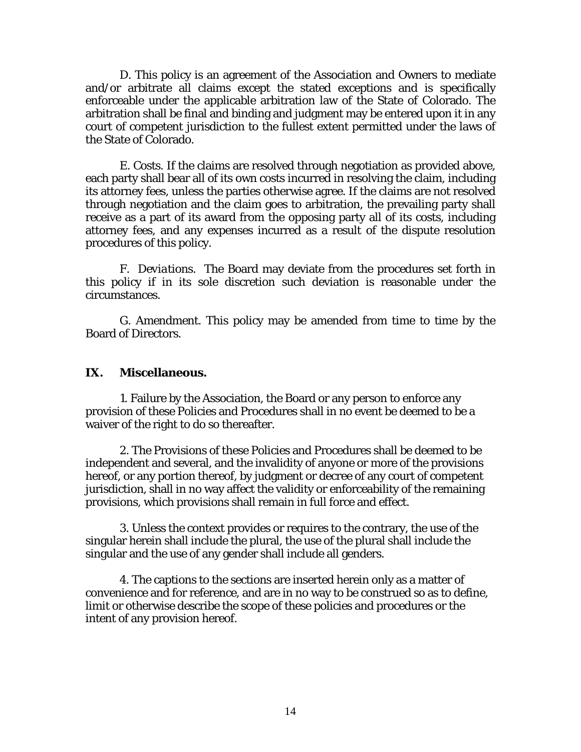D. This policy is an agreement of the Association and Owners to mediate and/or arbitrate all claims except the stated exceptions and is specifically enforceable under the applicable arbitration law of the State of Colorado. The arbitration shall be final and binding and judgment may be entered upon it in any court of competent jurisdiction to the fullest extent permitted under the laws of the State of Colorado.

E. *Costs.* If the claims are resolved through negotiation as provided above, each party shall bear all of its own costs incurred in resolving the claim, including its attorney fees, unless the parties otherwise agree. If the claims are not resolved through negotiation and the claim goes to arbitration, the prevailing party shall receive as a part of its award from the opposing party all of its costs, including attorney fees, and any expenses incurred as a result of the dispute resolution procedures of this policy.

F. *Deviations.* The Board may deviate from the procedures set forth in this policy if in its sole discretion such deviation is reasonable under the circumstances.

G. *Amendment.* This policy may be amended from time to time by the Board of Directors.

### **IX. Miscellaneous.**

1. Failure by the Association, the Board or any person to enforce any provision of these Policies and Procedures shall in no event be deemed to be a waiver of the right to do so thereafter.

2. The Provisions of these Policies and Procedures shall be deemed to be independent and several, and the invalidity of anyone or more of the provisions hereof, or any portion thereof, by judgment or decree of any court of competent jurisdiction, shall in no way affect the validity or enforceability of the remaining provisions, which provisions shall remain in full force and effect.

3. Unless the context provides or requires to the contrary, the use of the singular herein shall include the plural, the use of the plural shall include the singular and the use of any gender shall include all genders.

4. The captions to the sections are inserted herein only as a matter of convenience and for reference, and are in no way to be construed so as to define, limit or otherwise describe the scope of these policies and procedures or the intent of any provision hereof.